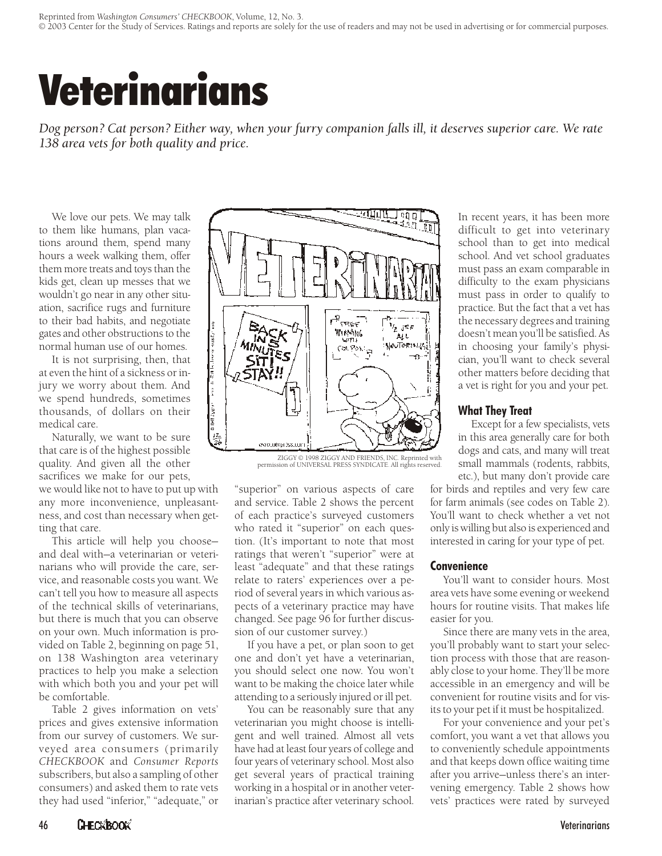# Veterinarians

*Dog person? Cat person? Either way, when your furry companion falls ill, it deserves superior care. We rate 138 area vets for both quality and price.*

We love our pets. We may talk to them like humans, plan vacations around them, spend many hours a week walking them, offer them more treats and toys than the kids get, clean up messes that we wouldn't go near in any other situation, sacrifice rugs and furniture to their bad habits, and negotiate gates and other obstructions to the normal human use of our homes.

It is not surprising, then, that at even the hint of a sickness or injury we worry about them. And we spend hundreds, sometimes thou sands, of dollars on their medical care.

Naturally, we want to be sure that care is of the highest possible quality. And given all the other sacrifices we make for our pets,

we would like not to have to put up with any more inconvenience, unpleasantness, and cost than necessary when getting that care.

This article will help you chooseand deal with-a veterinarian or veterinarians who will provide the care, service, and reasonable costs you want. We can't tell you how to measure all aspects of the technical skills of veterinarians, but there is much that you can observe on your own. Much information is provided on Table 2, beginning on page 51, on 138 Washington area veterinary practices to help you make a selection with which both you and your pet will be comfortable.

Table 2 gives information on vets' prices and gives extensive information from our survey of customers. We surveyed area consumers (primarily *CHECKBOOK* and *Con sumer Re ports* subscribers, but also a sampling of other consumers) and asked them to rate vets they had used "inferior," "adequate," or



ZIGGY © 1998 ZIGGY AND FRIENDS, INC. Reprinted with permission of UNIVERSAL PRESS SYNDICATE. All rights reserved.

"superior" on various aspects of care and service. Table 2 shows the percent of each practice's surveyed customers who rated it "superior" on each question. (It's important to note that most ratings that weren't "superior" were at least "adequate" and that these ratings relate to raters' experiences over a period of several years in which various aspects of a veterinary practice may have changed. See page 96 for further discussion of our customer survey.)

If you have a pet, or plan soon to get one and don't yet have a veterinarian, you should select one now. You won't want to be making the choice later while attending to a seriously injured or ill pet.

You can be reasonably sure that any veterinarian you might choose is intelligent and well trained. Almost all vets have had at least four years of college and four years of veterinary school. Most also get several years of practical training working in a hospital or in another veterinarian's practice after veterinary school. In recent years, it has been more difficult to get into veterinary school than to get into medical school. And vet school graduates must pass an exam comparable in difficulty to the exam physicians must pass in order to qualify to practice. But the fact that a vet has the necessary degrees and training doesn't mean you'll be satisfied. As in choosing your family's physician, you'll want to check several other matters before deciding that a vet is right for you and your pet.

### **What They Treat**

Except for a few specialists, vets in this area generally care for both dogs and cats, and many will treat small mammals (rodents, rabbits, etc.), but many don't provide care

for birds and reptiles and very few care for farm animals (see codes on Table 2). You'll want to check whether a vet not only is willing but also is experienced and interested in caring for your type of pet.

### **Convenience**

You'll want to consider hours. Most area vets have some evening or weekend hours for routine visits. That makes life easier for you.

Since there are many vets in the area, you'll probably want to start your selection process with those that are reasonably close to your home. They'll be more accessible in an emergency and will be convenient for routine visits and for visits to your pet if it must be hospitalized.

For your convenience and your pet's comfort, you want a vet that allows you to conveniently schedule appointments and that keeps down office waiting time after you arrive—unless there's an intervening emergency. Table 2 shows how vets' practices were rated by surveyed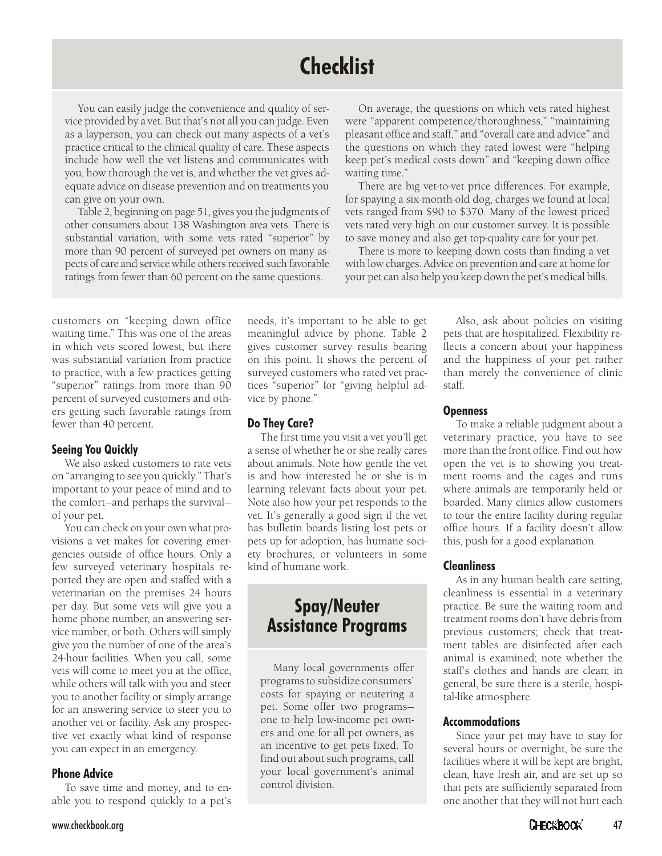# **Checklist**

You can easily judge the convenience and quality of service provided by a vet. But that's not all you can judge. Even as a layperson, you can check out many aspects of a vet's practice critical to the clinical quality of care. These aspects include how well the vet listens and communicates with you, how thorough the vet is, and whether the vet gives adequate advice on disease prevention and on treatments you can give on your own.

Table 2, beginning on page 51, gives you the judgments of other consumers about 138 Washington area vets. There is substantial variation, with some vets rated "superior" by more than 90 percent of surveyed pet owners on many aspects of care and service while others received such favorable ratings from fewer than 60 percent on the same questions.

On average, the questions on which vets rated highest were "apparent competence/thoroughness," "maintaining pleasant office and staff," and "overall care and advice" and the questions on which they rated lowest were "helping" keep pet's medical costs down" and "keeping down office waiting time."

There are big vet-to-vet price differences. For example, for spaying a six-month-old dog, charges we found at local vets ranged from \$90 to \$370. Many of the lowest priced vets rated very high on our customer survey. It is possible to save money and also get top-quality care for your pet.

There is more to keeping down costs than finding a vet with low charges. Advice on prevention and care at home for your pet can also help you keep down the pet's medical bills.

customers on "keeping down office waiting time." This was one of the areas in which vets scored lowest, but there was substantial variation from practice to practice, with a few practices getting "superior" ratings from more than 90 percent of surveyed customers and others getting such favorable ratings from fewer than 40 percent.

### **Seeing You Quickly**

We also asked customers to rate vets on "arranging to see you quickly." That's important to your peace of mind and to the comfort-and perhaps the survivalof your pet.

You can check on your own what provisions a vet makes for covering emergencies outside of office hours. Only a few surveyed veterinary hospitals reported they are open and staffed with a veterinarian on the premises 24 hours per day. But some vets will give you a home phone number, an answering service number, or both. Others will simply give you the number of one of the area's 24-hour facilities. When you call, some vets will come to meet you at the office, while others will talk with you and steer you to another facility or simply arrange for an answering service to steer you to another vet or facility. Ask any prospective vet exactly what kind of response you can expect in an emergency.

### **Phone Advice**

To save time and money, and to enable you to respond quickly to a pet's needs, it's important to be able to get meaning ful advice by phone. Table 2 gives customer survey results bearing on this point. It shows the percent of surveyed customers who rated vet practices "superior" for "giving helpful advice by phone."

### **Do They Care?**

The first time you visit a vet you'll get a sense of whether he or she really cares about animals. Note how gentle the vet is and how in terested he or she is in learning relevant facts about your pet. Note also how your pet responds to the vet. It's generally a good sign if the vet has bulletin boards listing lost pets or pets up for adoption, has humane society brochures, or volunteers in some kind of humane work.

# **Spay/Neuter Assistance Programs**

Many local governments offer programs to subsidize consumers' costs for spaying or neutering a pet. Some offer two programsone to help low-income pet owners and one for all pet owners, as an incentive to get pets fixed. To find out about such programs, call your local government's animal control division.

Also, ask about policies on visiting pets that are hospitalized. Flexibility reflects a concern about your happiness and the happiness of your pet rather than merely the convenience of clinic staff.

### **Openness**

To make a reliable judgment about a veterinary practice, you have to see more than the front office. Find out how open the vet is to showing you treatment rooms and the cages and runs where animals are temporarily held or boarded. Many clinics allow customers to tour the entire facility during regular office hours. If a facility doesn't allow this, push for a good explanation.

## **Cleanliness**

As in any human health care setting, cleanliness is essential in a veterinary practice. Be sure the waiting room and treatment rooms don't have debris from previous customers; check that treatment tables are disinfected after each animal is examined; note whether the staff's clothes and hands are clean; in general, be sure there is a sterile, hospital-like atmosphere.

### **Accommodations**

Since your pet may have to stay for several hours or overnight, be sure the facilities where it will be kept are bright, clean, have fresh air, and are set up so that pets are sufficiently separated from one an other that they will not hurt each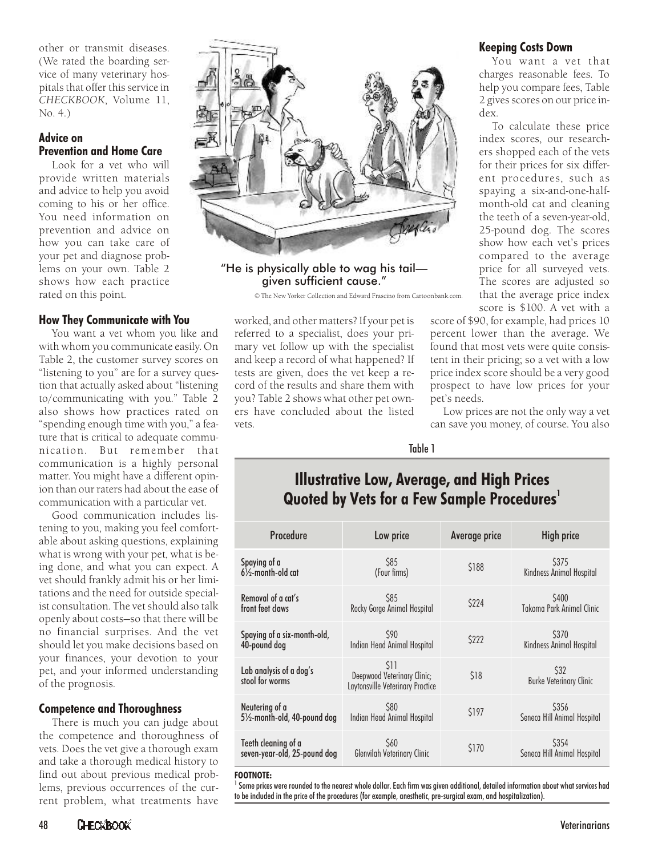other or transmit diseases. (We rated the boarding service of many veterinary hospitals that offer this service in *CHECKBOOK*, Volume 11, No. 4.)

### **Advice on Prevention and Home Care**

Look for a vet who will provide written materials and advice to help you avoid coming to his or her office. You need information on prevention and advice on how you can take care of your pet and diagnose problems on your own. Table 2 shows how each practice rated on this point.

## **How They Communicate with You**

You want a vet whom you like and with whom you communicate easily. On Table 2, the customer survey scores on "listening to you" are for a survey question that actually asked about "listening to/communicating with you." Table 2 also shows how practices rated on "spending enough time with you," a feature that is critical to adequate communication. But remember that communication is a highly personal matter. You might have a different opinion than our raters had about the ease of communication with a particular vet.

Good communication includes listening to you, making you feel comfortable about asking questions, explaining what is wrong with your pet, what is being done, and what you can expect. A vet should frankly admit his or her limitations and the need for outside specialist consultation. The vet should also talk openly about costs—so that there will be no financial surprises. And the vet should let you make decisions based on your finances, your devotion to your pet, and your informed understanding of the prognosis.

## **Competence and Thoroughness**

There is much you can judge about the competence and thoroughness of vets. Does the vet give a thorough exam and take a thorough medical history to find out about previous medical problems, previous occurrences of the current problem, what treatments have



"He is physically able to wag his tail given sufficient cause."

© The New Yorker Collection and Edward Frascino from Cartoonbank.com.

worked, and other matters? If your pet is referred to a specialist, does your primary vet follow up with the specialist and keep a record of what happened? If tests are given, does the vet keep a record of the results and share them with you? Table 2 shows what other pet owners have concluded about the listed vets.

### **Keeping Costs Down**

You want a vet that charges reasonable fees. To help you compare fees, Table 2 gives scores on our price index.

To calculate these price index scores, our researchers shopped each of the vets for their prices for six different procedures, such as spaying a six-and-one-halfmonth-old cat and cleaning the teeth of a seven-year-old, 25-pound dog. The scores show how each vet's prices compared to the average price for all surveyed vets. The scores are adjusted so that the average price index score is \$100. A vet with a

score of \$90, for example, had prices 10 percent lower than the average. We found that most vets were quite consistent in their pricing; so a vet with a low price in dex score should be a very good prospect to have low prices for your pet's needs.

Low prices are not the only way a vet can save you money, of course. You also

Table 1

# **Illustrative Low, Average, and High Prices Quoted by Vets for a Few Sample Procedures<sup>1</sup>**

| Procedure                                  | Low price                                                               | Average price | High price                             |
|--------------------------------------------|-------------------------------------------------------------------------|---------------|----------------------------------------|
| Spaying of a                               | \$85                                                                    | <b>S188</b>   | S375                                   |
| $6\frac{1}{2}$ -month-old cat              | (Four firms)                                                            |               | Kindness Animal Hospital               |
| Removal of a cat's                         | \$85                                                                    | \$224         | S400                                   |
| front feet claws                           | Rocky Gorge Animal Hospital                                             |               | Takoma Park Animal Clinic              |
| Spaying of a six-month-old,                | S90                                                                     | \$222         | S370                                   |
| 40-pound dog                               | Indian Head Animal Hospital                                             |               | Kindness Animal Hospital               |
| Lab analysis of a dog's<br>stool for worms | \$11<br>Deepwood Veterinary Clinic;<br>Laytonsville Veterinary Practice | \$18          | \$32<br><b>Burke Veterinary Clinic</b> |
| Neutering of a                             | <b>S80</b>                                                              | \$197         | S356                                   |
| 51/2-month-old, 40-pound dog               | Indian Head Animal Hospital                                             |               | Seneca Hill Animal Hospital            |
| Teeth cleaning of a                        | <b>S60</b>                                                              | \$170         | S <sub>354</sub>                       |
| seven-year-old, 25-pound dog               | Glenvilah Veterinary Clinic                                             |               | Seneca Hill Animal Hospital            |

#### **FOOTNOTE:**

 $^{\rm 1}$  Some prices were rounded to the nearest whole dollar. Each firm was given additional, detailed information about what services had to be included in the price of the procedures (for example, anesthetic, pre-surgical exam, and hospitalization).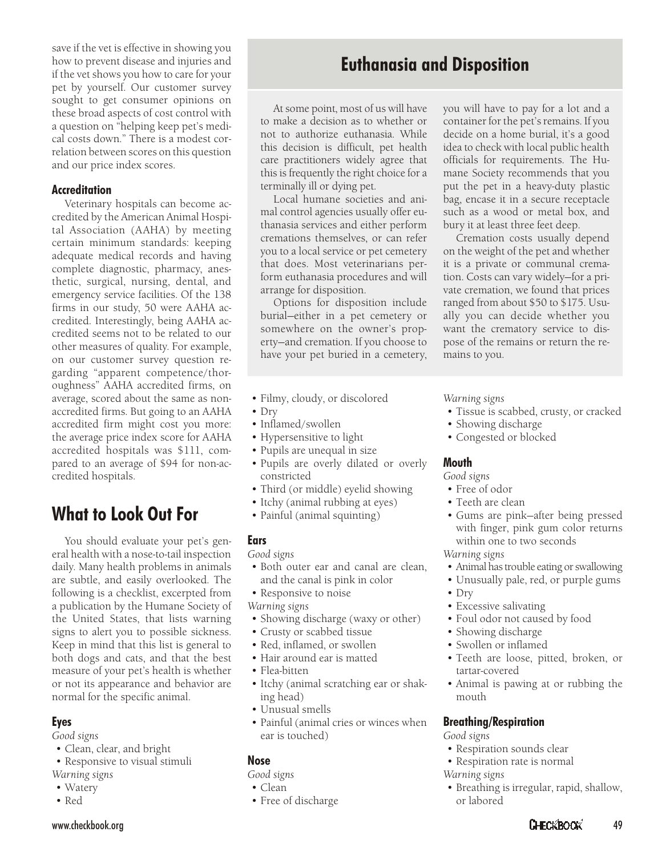save if the vet is effective in showing you how to prevent disease and injuries and if the vet shows you how to care for your pet by yourself. Our customer survey sought to get consumer opinions on these broad aspects of cost control with a question on "helping keep pet's medical costs down." There is a modest correlation between scores on this question and our price index scores.

### **Accreditation**

Veterinary hospitals can become accredited by the American Animal Hospital Association (AAHA) by meeting certain minimum standards: keeping adequate medical records and having complete diagnostic, pharmacy, anesthetic, surgical, nursing, dental, and emergency service facilities. Of the 138 firms in our study, 50 were AAHA accredited. Interestingly, being AAHA accredited seems not to be related to our other measures of quality. For example, on our customer survey question regarding "apparent competence/thoroughness" AAHA accredited firms, on average, scored about the same as nonaccredited firms. But going to an AAHA accredited firm might cost you more: the average price index score for AAHA accredited hospitals was \$111, compared to an average of \$94 for non-accredited hospitals.

# **What to Look Out For**

You should evaluate your pet's general health with a nose-to-tail inspection daily. Many health problems in animals are subtle, and easily overlooked. The following is a checklist, excerpted from a publication by the Humane Society of the United States, that lists warning signs to alert you to possible sickness. Keep in mind that this list is general to both dogs and cats, and that the best measure of your pet's health is whether or not its appearance and behavior are normal for the specific animal.

## **Eyes**

*Good signs*

- Clean, clear, and bright
- Responsive to visual stimuli *Warning signs*
- Watery
- Red

# **Euthanasia and Disposition**

At some point, most of us will have to make a decision as to whether or not to authorize euthanasia. While this decision is difficult, pet health care practitioners widely agree that this is frequently the right choice for a terminally ill or dying pet.

Local humane societies and animal control agencies usually offer euthanasia services and either perform cremations themselves, or can refer you to a local service or pet cemetery that does. Most veterinarians perform euthanasia procedures and will arrange for disposition.

Options for disposition include burial-either in a pet cemetery or somewhere on the owner's property-and cremation. If you choose to have your pet buried in a cemetery,

- Filmy, cloudy, or discolored
- Dry
- Inflamed/swollen
- Hypersensitive to light
- Pupils are unequal in size
- Pupils are overly dilated or overly constricted
- Third (or middle) eyelid showing
- Itchy (animal rubbing at eyes)
- Painful (animal squinting)

## **Ears**

- *Good signs* • Both outer ear and canal are clean,
- and the canal is pink in color
- Responsive to noise

*Warning signs*

- Showing discharge (waxy or other)
- Crusty or scabbed tissue
- Red, inflamed, or swollen
- Hair around ear is matted
- Flea-bitten
- Itchy (animal scratching ear or shaking head)
- Unusual smells
- Painful (animal cries or winces when ear is touched)

## **Nose**

*Good signs*

- Clean
- Free of discharge

you will have to pay for a lot and a container for the pet's remains. If you de cide on a home burial, it's a good idea to check with local public health officials for requirements. The Humane Society recommends that you put the pet in a heavy-duty plastic bag, encase it in a secure receptacle such as a wood or metal box, and bury it at least three feet deep.

Cremation costs usually depend on the weight of the pet and whether it is a private or communal cremation. Costs can vary widely—for a private cremation, we found that prices ranged from about \$50 to \$175. Usually you can de cide whether you want the crematory service to dispose of the remains or return the remains to you.

*Warning signs*

- Tissue is scabbed, crusty, or cracked
- Showing discharge
- Congested or blocked

## **Mouth**

*Good signs*

- Free of odor
- Teeth are clean
- Gums are pink-after being pressed with finger, pink gum color returns within one to two seconds

*Warning signs*

- Animal has trouble eating or swallowing
- Unusually pale, red, or purple gums
- Dry
- Excessive salivating
- Foul odor not caused by food
- Showing discharge
- Swollen or inflamed
- Teeth are loose, pitted, broken, or tartar-covered
- Animal is pawing at or rubbing the mouth

**Breathing/Respiration**

*Good signs*

- Respiration sounds clear
- Respiration rate is normal

*Warning signs*

• Breathing is irregular, rapid, shallow, or labored

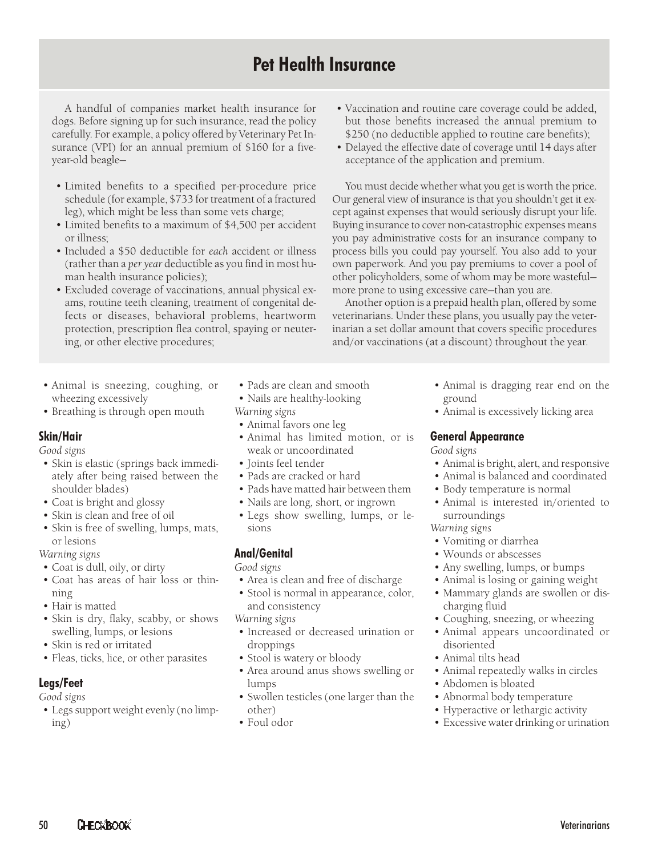# **Pet Health Insurance**

A handful of companies market health insurance for dogs. Before signing up for such insurance, read the policy carefully. For example, a policy offered by Veterinary Pet Insurance (VPI) for an annual premium of \$160 for a fiveyear-old beagle—

- Limited benefits to a specified per-procedure price schedule (for example, \$733 for treatment of a fractured leg), which might be less than some vets charge;
- Limited benefits to a maximum of \$4,500 per accident or illness;
- Included a \$50 deductible for *each* accident or illness (rather than a *per year* deductible as you find in most human health insurance policies);
- Excluded coverage of vaccinations, annual physical exams, routine teeth cleaning, treatment of congenital defects or diseases, behavioral problems, heartworm protection, prescription flea control, spaying or neutering, or other elective procedures;
- Animal is sneezing, coughing, or wheezing excessively
- Breathing is through open mouth

# **Skin/Hair**

*Good signs*

- Skin is elastic (springs back immediately after being raised between the shoulder blades)
- Coat is bright and glossy
- Skin is clean and free of oil
- Skin is free of swelling, lumps, mats, or lesions

*Warning signs*

- Coat is dull, oily, or dirty
- Coat has areas of hair loss or thinning
- Hair is matted
- Skin is dry, flaky, scabby, or shows swelling, lumps, or lesions
- Skin is red or irritated
- Fleas, ticks, lice, or other parasites

# **Legs/Feet**

*Good signs*

• Legs support weight evenly (no limping)

- Pads are clean and smooth
- Nails are healthy-looking *Warning signs*
- Animal favors one leg
- Animal has limited motion, or is weak or uncoordinated
- Joints feel ten der
- Pads are cracked or hard
- Pads have matted hair between them
- Nails are long, short, or ingrown
- Legs show swelling, lumps, or lesions

# **Anal/Genital**

*Good signs*

- Area is clean and free of discharge
- Stool is normal in appearance, color, and consistency
- *Warning signs*
- Increased or decreased urination or droppings
- Stool is watery or bloody
- Area around anus shows swelling or lumps
- Swollen testicles (one larger than the other)
- Foul odor
- Vaccination and routine care coverage could be added, but those benefits increased the annual premium to \$250 (no deductible applied to routine care benefits);
- Delayed the effective date of coverage until 14 days after acceptance of the application and premium.

You must decide whether what you get is worth the price. Our general view of insurance is that you shouldn't get it except against expenses that would seriously disrupt your life. Buying insurance to cover non-catastrophic expenses means you pay administrative costs for an insurance company to process bills you could pay yourself. You also add to your own paperwork. And you pay premiums to cover a pool of other policyholders, some of whom may be more wastefulmore prone to using excessive care-than you are.

Another option is a prepaid health plan, offered by some veterinarians. Under these plans, you usually pay the veterinarian a set dollar amount that covers specific procedures and/or vaccinations (at a discount) throughout the year.

- Animal is dragging rear end on the ground
- Animal is excessively licking area

# **General Appearance**

*Good signs*

- Animal is bright, alert, and responsive
- Animal is balanced and coordinated
- Body temperature is normal
- Animal is interested in/oriented to surroundings

### *Warning signs*

- Vomiting or diarrhea
- Wounds or abscesses
- Any swelling, lumps, or bumps
- Animal is losing or gaining weight
- Mammary glands are swollen or discharging fluid
- Coughing, sneezing, or wheezing
- Animal appears uncoordinated or disoriented
- Animal tilts head
- Animal repeatedly walks in circles
- Abdomen is bloated
- Abnormal body temperature
- Hyperactive or lethargic activity
- Excessive water drinking or urination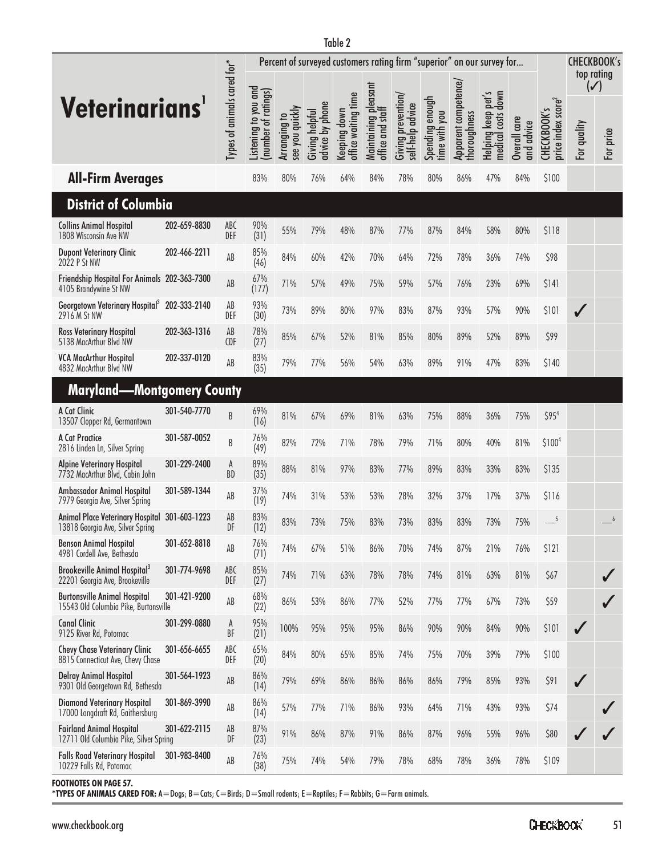|                                                                              |              |                             | Percent of surveyed customers rating firm "superior" on our survey for |                                 |                                   |                                     |                                          |                                        |                                  |                                      |                                                |                            | <b>CHECKBOOK's</b><br>top rating              |                               |           |
|------------------------------------------------------------------------------|--------------|-----------------------------|------------------------------------------------------------------------|---------------------------------|-----------------------------------|-------------------------------------|------------------------------------------|----------------------------------------|----------------------------------|--------------------------------------|------------------------------------------------|----------------------------|-----------------------------------------------|-------------------------------|-----------|
| <b>Veterinarians</b>                                                         |              | Types of animals cared for* | Listening to you and<br>(number of ratings)                            | see you quickly<br>Arranging to | advice by phone<br>Giving helpful | office waiting time<br>Keeping down | Maintaining pleasant<br>office and staff | Giving prevention/<br>self-help advice | Spending enough<br>time with you | Apparent competence/<br>thoroughness | pet's<br>down<br>Helping keep<br>medical costs | Overall care<br>and advice | price index score <sup>2</sup><br>CHECKBOOK's | $(\checkmark)$<br>For quality | For price |
| <b>All-Firm Averages</b>                                                     |              |                             | 83%                                                                    | 80%                             | 76%                               | 64%                                 | 84%                                      | 78%                                    | 80%                              | 86%                                  | 47%                                            | 84%                        | \$100                                         |                               |           |
| <b>District of Columbia</b>                                                  |              |                             |                                                                        |                                 |                                   |                                     |                                          |                                        |                                  |                                      |                                                |                            |                                               |                               |           |
| <b>Collins Animal Hospital</b><br>1808 Wisconsin Ave NW                      | 202-659-8830 | ABC<br>DEF                  | 90%<br>(31)                                                            | 55%                             | 79%                               | 48%                                 | 87%                                      | 77%                                    | 87%                              | 84%                                  | 58%                                            | 80%                        | \$118                                         |                               |           |
| <b>Dupont Veterinary Clinic</b><br>2022 P St NW                              | 202-466-2211 | AB                          | 85%<br>(46)                                                            | 84%                             | 60%                               | 42%                                 | 70%                                      | 64%                                    | 72%                              | 78%                                  | 36%                                            | 74%                        | \$98                                          |                               |           |
| Friendship Hospital For Animals 202-363-7300<br>4105 Brandywine St NW        |              | AB                          | 67%<br>(177)                                                           | 71%                             | 57%                               | 49%                                 | 75%                                      | 59%                                    | 57%                              | 76%                                  | 23%                                            | 69%                        | \$141                                         |                               |           |
| Georgetown Veterinary Hospital <sup>3</sup> 202-333-2140<br>2916 M St NW     |              | AB<br>DEF                   | 93%<br>(30)                                                            | 73%                             | 89%                               | 80%                                 | 97%                                      | 83%                                    | 87%                              | 93%                                  | 57%                                            | 90%                        | \$101                                         | J                             |           |
| <b>Ross Veterinary Hospital</b><br>5138 MacArthur Blvd NW                    | 202-363-1316 | AB<br><b>CDF</b>            | 78%<br>(27)                                                            | 85%                             | 67%                               | 52%                                 | 81%                                      | 85%                                    | 80%                              | 89%                                  | 52%                                            | 89%                        | \$99                                          |                               |           |
| <b>VCA MacArthur Hospital</b><br>4832 MacArthur Blvd NW                      | 202-337-0120 | AB                          | 83%<br>(35)                                                            | 79%                             | 77%                               | 56%                                 | 54%                                      | 63%                                    | 89%                              | 91%                                  | 47%                                            | 83%                        | \$140                                         |                               |           |
| <b>Maryland-Montgomery County</b>                                            |              |                             |                                                                        |                                 |                                   |                                     |                                          |                                        |                                  |                                      |                                                |                            |                                               |                               |           |
| A Cat Clinic<br>13507 Clopper Rd, Germantown                                 | 301-540-7770 | B                           | 69%<br>(16)                                                            | 81%                             | 67%                               | 69%                                 | 81%                                      | 63%                                    | 75%                              | 88%                                  | 36%                                            | 75%                        | \$95 <sup>4</sup>                             |                               |           |
| A Cat Practice<br>2816 Linden Ln, Silver Spring                              | 301-587-0052 | B                           | 76%<br>(49)                                                            | 82%                             | 72%                               | 71%                                 | 78%                                      | 79%                                    | 71%                              | 80%                                  | 40%                                            | 81%                        | \$100 <sup>4</sup>                            |                               |           |
| <b>Alpine Veterinary Hospital</b><br>7732 MacArthur Blvd, Cabin John         | 301-229-2400 | A<br>BD                     | 89%<br>(35)                                                            | 88%                             | 81%                               | 97%                                 | 83%                                      | 77%                                    | 89%                              | 83%                                  | 33%                                            | 83%                        | \$135                                         |                               |           |
| Ambassador Animal Hospital<br>7979 Georgia Ave, Silver Spring                | 301-589-1344 | AB                          | 37%<br>(19)                                                            | 74%                             | 31%                               | 53%                                 | 53%                                      | 28%                                    | 32%                              | 37%                                  | 17%                                            | 37%                        | \$116                                         |                               |           |
| <b>Animal Place Veterinary Hospital</b><br>13818 Georgia Ave, Silver Spring  | 301-603-1223 | AB<br>DF                    | 83%<br>(12)                                                            | 83%                             | 73%                               | 75%                                 | 83%                                      | 73%                                    | 83%                              | 83%                                  | 73%                                            | 75%                        | 5                                             |                               | 6         |
| <b>Benson Animal Hospital</b><br>4981 Cordell Ave, Bethesda                  | 301-652-8818 | AB                          | 76%<br>(71)                                                            | 74%                             | 67%                               | 51%                                 | 86%                                      | 70%                                    | 74%                              | 87%                                  | 21%                                            | 76%                        | \$121                                         |                               |           |
| <b>Brookeville Animal Hospital3</b><br>22201 Georgia Ave, Brookeville        | 301-774-9698 | ABC<br>DEF                  | 85%<br>(27)                                                            | 74%                             | 71%                               | 63%                                 | 78%                                      | 78%                                    | 74%                              | 81%                                  | 63%                                            | 81%                        | \$67                                          |                               |           |
| <b>Burtonsville Animal Hospital</b><br>15543 Old Columbia Pike, Burtonsville | 301-421-9200 | AB                          | 68%<br>(22)                                                            | 86%                             | 53%                               | 86%                                 | 77%                                      | 52%                                    | 77%                              | 77%                                  | 67%                                            | 73%                        | \$59                                          |                               |           |
| <b>Canal Clinic</b><br>9125 River Rd, Potomac                                | 301-299-0880 | A<br>BF                     | 95%<br>(21)                                                            | 100%                            | 95%                               | 95%                                 | 95%                                      | 86%                                    | 90%                              | 90%                                  | 84%                                            | 90%                        | \$101                                         | ✓                             |           |
| <b>Chevy Chase Veterinary Clinic</b><br>8815 Connecticut Ave, Chevy Chase    | 301-656-6655 | ABC<br>DEF                  | 65%<br>(20)                                                            | 84%                             | 80%                               | 65%                                 | 85%                                      | 74%                                    | 75%                              | 70%                                  | 39%                                            | 79%                        | \$100                                         |                               |           |
| <b>Delray Animal Hospital</b><br>9301 Old Georgetown Rd, Bethesda            | 301-564-1923 | AB                          | 86%<br>(14)                                                            | 79%                             | 69%                               | 86%                                 | 86%                                      | 86%                                    | 86%                              | 79%                                  | 85%                                            | 93%                        | \$91                                          | $\checkmark$                  |           |
| <b>Diamond Veterinary Hospital</b><br>17000 Longdraft Rd, Gaithersburg       | 301-869-3990 | $\mathsf{A}\mathsf{B}$      | 86%<br>(14)                                                            | 57%                             | 77%                               | 71%                                 | 86%                                      | 93%                                    | 64%                              | 71%                                  | 43%                                            | 93%                        | \$74                                          |                               |           |
| <b>Fairland Animal Hospital</b><br>12711 Old Columbia Pike, Silver Spring    | 301-622-2115 | AB<br>DF                    | 87%<br>(23)                                                            | 91%                             | 86%                               | 87%                                 | 91%                                      | 86%                                    | 87%                              | 96%                                  | 55%                                            | 96%                        | \$80                                          |                               |           |
| <b>Falls Road Veterinary Hospital</b><br>10229 Falls Rd, Potomac             | 301-983-8400 | AB                          | 76%<br>(38)                                                            | 75%                             | 74%                               | 54%                                 | 79%                                      | 78%                                    | 68%                              | 78%                                  | 36%                                            | 78%                        | \$109                                         |                               |           |

**FOOTNOTES ON PAGE 57.**

**\*TYPES OF ANIMALS CARED FOR:** A=Dogs; B=Cats; C=Birds; D=Small rodents; E=Reptiles; F=Rabbits; G=Farm animals.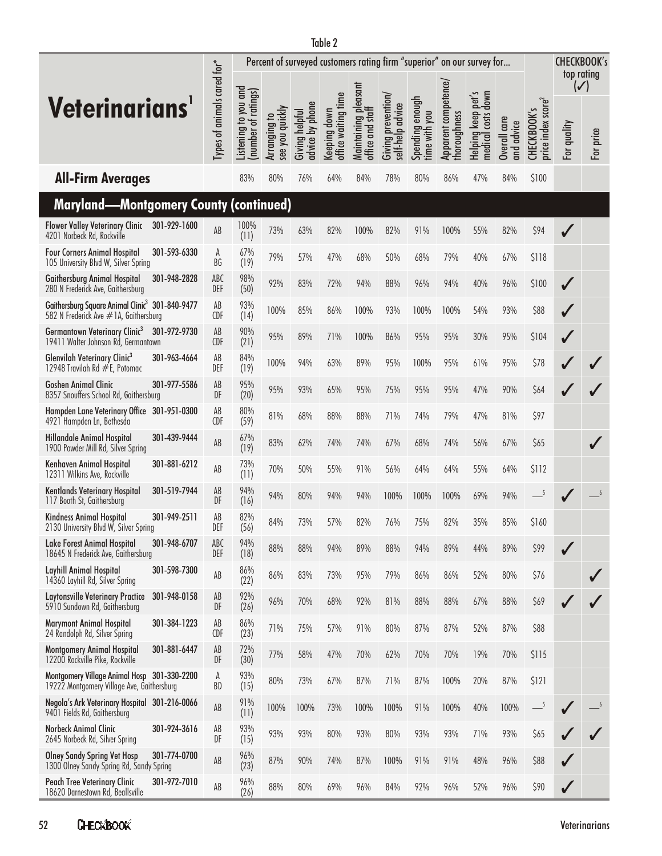|                                                                                                      |                             |                                            | Percent of surveyed customers rating firm "superior" on our survey for |                                   |                                     |                                          |                                        |                                  |                                     |                                                              |                            |                                               |                | <b>CHECKBOOK's</b><br>top rating |
|------------------------------------------------------------------------------------------------------|-----------------------------|--------------------------------------------|------------------------------------------------------------------------|-----------------------------------|-------------------------------------|------------------------------------------|----------------------------------------|----------------------------------|-------------------------------------|--------------------------------------------------------------|----------------------------|-----------------------------------------------|----------------|----------------------------------|
|                                                                                                      |                             |                                            |                                                                        |                                   |                                     |                                          |                                        |                                  |                                     |                                                              |                            |                                               | $(\checkmark)$ |                                  |
| <b>Veterinarians</b>                                                                                 | Types of animals cared for* | Listening to you and<br>number of ratings) | see you quickly<br>Arranging to                                        | advice by phone<br>Giving helpful | office waiting time<br>Keeping down | Maintaining pleasant<br>office and staff | Giving prevention/<br>self-help advice | Spending enough<br>time with you | Apparent competence/<br>horoughness | down<br>pet <sup>r</sup><br>Helping keep<br>costs<br>medical | Overall care<br>and advice | price index score <sup>2</sup><br>CHECKBOOK's | For quality    | For price                        |
| <b>All-Firm Averages</b>                                                                             |                             | 83%                                        | 80%                                                                    | 76%                               | 64%                                 | 84%                                      | 78%                                    | 80%                              | 86%                                 | 47%                                                          | 84%                        | \$100                                         |                |                                  |
| <b>Maryland-Montgomery County (continued)</b>                                                        |                             |                                            |                                                                        |                                   |                                     |                                          |                                        |                                  |                                     |                                                              |                            |                                               |                |                                  |
| <b>Flower Valley Veterinary Clinic</b><br>301-929-1600<br>4201 Norbeck Rd, Rockville                 | AB                          | 100%<br>(11)                               | 73%                                                                    | 63%                               | 82%                                 | 100%                                     | 82%                                    | 91%                              | 100%                                | 55%                                                          | 82%                        | \$94                                          |                |                                  |
| <b>Four Corners Animal Hospital</b><br>301-593-6330<br>105 University Blvd W, Silver Spring          | A<br>BG                     | 67%<br>(19)                                | 79%                                                                    | 57%                               | 47%                                 | 68%                                      | 50%                                    | 68%                              | 79%                                 | 40%                                                          | 67%                        | \$118                                         |                |                                  |
| <b>Gaithersburg Animal Hospital</b><br>301-948-2828<br>280 N Frederick Ave, Gaithersburg             | ABC<br>DEF                  | 98%<br>(50)                                | 92%                                                                    | 83%                               | 72%                                 | 94%                                      | 88%                                    | 96%                              | 94%                                 | 40%                                                          | 96%                        | \$100                                         | $\sqrt{}$      |                                  |
| Gaithersburg Square Animal Clinic <sup>3</sup> 301-840-9477<br>582 N Frederick Ave #1A, Gaithersburg | AB<br><b>CDF</b>            | 93%<br>(14)                                | 100%                                                                   | 85%                               | 86%                                 | 100%                                     | 93%                                    | 100%                             | 100%                                | 54%                                                          | 93%                        | \$88                                          | $\sqrt{}$      |                                  |
| Germantown Veterinary Clinic <sup>3</sup><br>301-972-9730<br>19411 Walter Johnson Rd, Germantown     | AB<br><b>CDF</b>            | 90%<br>(21)                                | 95%                                                                    | 89%                               | 71%                                 | 100%                                     | 86%                                    | 95%                              | 95%                                 | 30%                                                          | 95%                        | \$104                                         | $\sqrt{}$      |                                  |
| Glenvilah Veterinary Clinic <sup>3</sup><br>301-963-4664<br>12948 Travilah Rd #E, Potomac            | AB<br>DEF                   | 84%<br>(19)                                | 100%                                                                   | 94%                               | 63%                                 | 89%                                      | 95%                                    | 100%                             | 95%                                 | 61%                                                          | 95%                        | \$78                                          |                |                                  |
| <b>Goshen Animal Clinic</b><br>301-977-5586<br>8357 Snouffers School Rd, Gaithersburg                | AB<br>DF                    | 95%<br>(20)                                | 95%                                                                    | 93%                               | 65%                                 | 95%                                      | 75%                                    | 95%                              | 95%                                 | 47%                                                          | 90%                        | \$64                                          |                |                                  |
| Hampden Lane Veterinary Office 301-951-0300<br>4921 Hampden Ln, Bethesda                             | AB<br><b>CDF</b>            | 80%<br>(59)                                | 81%                                                                    | 68%                               | 88%                                 | 88%                                      | 71%                                    | 74%                              | 79%                                 | 47%                                                          | 81%                        | \$97                                          |                |                                  |
| 301-439-9444<br><b>Hillandale Animal Hospital</b><br>1900 Powder Mill Rd, Silver Spring              | AB                          | 67%<br>(19)                                | 83%                                                                    | 62%                               | 74%                                 | 74%                                      | 67%                                    | 68%                              | 74%                                 | 56%                                                          | 67%                        | \$65                                          |                |                                  |
| 301-881-6212<br>Kenhaven Animal Hospital<br>12311 Wilkins Ave, Rockville                             | AB                          | 73%<br>(11)                                | 70%                                                                    | 50%                               | 55%                                 | 91%                                      | 56%                                    | 64%                              | 64%                                 | 55%                                                          | 64%                        | \$112                                         |                |                                  |
| 301-519-7944<br>Kentlands Veterinary Hospital<br>117 Booth St, Gaithersburg                          | AB<br>DF                    | 94%<br>(16)                                | 94%                                                                    | 80%                               | 94%                                 | 94%                                      | 100%                                   | 100%                             | 100%                                | 69%                                                          | 94%                        | 5                                             |                |                                  |
| 301-949-2511<br><b>Kindness Animal Hospital</b><br>2130 University Blvd W, Silver Spring             | AB<br>DEF                   | 82%<br>(56)                                | 84%                                                                    | 73%                               | 57%                                 | 82%                                      | 76%                                    | 75%                              | 82%                                 | 35%                                                          | 85%                        | \$160                                         |                |                                  |
| 301-948-6707<br>Lake Forest Animal Hospital<br>18645 N Frederick Ave, Gaithersburg                   | ABC<br>DEF                  | 94%<br>(18)                                | 88%                                                                    | 88%                               | 94%                                 | 89%                                      | 88%                                    | 94%                              | 89%                                 | 44%                                                          | 89%                        | \$99                                          |                |                                  |
| Layhill Animal Hospital<br>301-598-7300<br>14360 Layhill Rd, Silver Spring                           | AB                          | 86%<br>(22)                                | 86%                                                                    | 83%                               | 73%                                 | 95%                                      | 79%                                    | 86%                              | 86%                                 | 52%                                                          | 80%                        | \$76                                          |                |                                  |
| <b>Laytonsville Veterinary Practice</b><br>301-948-0158<br>5910 Sundown Rd, Gaithersburg             | AB<br>DF                    | 92%<br>(26)                                | 96%                                                                    | 70%                               | 68%                                 | 92%                                      | 81%                                    | 88%                              | 88%                                 | 67%                                                          | 88%                        | \$69                                          |                |                                  |
| 301-384-1223<br><b>Marymont Animal Hospital</b><br>24 Randolph Rd, Silver Spring                     | AB<br><b>CDF</b>            | 86%<br>(23)                                | 71%                                                                    | 75%                               | 57%                                 | 91%                                      | 80%                                    | 87%                              | 87%                                 | 52%                                                          | 87%                        | \$88                                          |                |                                  |
| 301-881-6447<br><b>Montgomery Animal Hospital</b><br>12200 Rockville Pike, Rockville                 | AB<br>DF                    | 72%<br>(30)                                | 77%                                                                    | 58%                               | 47%                                 | 70%                                      | 62%                                    | 70%                              | 70%                                 | 19%                                                          | 70%                        | \$115                                         |                |                                  |
| Montgomery Village Animal Hosp 301-330-2200<br>19222 Montgomery Village Ave, Gaithersburg            | A<br>BD                     | 93%<br>(15)                                | 80%                                                                    | 73%                               | 67%                                 | 87%                                      | 71%                                    | 87%                              | 100%                                | 20%                                                          | 87%                        | \$121                                         |                |                                  |
| Negola's Ark Veterinary Hospital 301-216-0066<br>9401 Fields Rd, Gaithersburg                        | AB                          | 91%<br>(11)                                | 100%                                                                   | 100%                              | 73%                                 | 100%                                     | 100%                                   | 91%                              | 100%                                | 40%                                                          | 100%                       | $-$ <sup>5</sup>                              |                |                                  |
| <b>Norbeck Animal Clinic</b><br>301-924-3616<br>2645 Norbeck Rd, Silver Spring                       | AB<br>DF                    | 93%<br>(15)                                | 93%                                                                    | 93%                               | 80%                                 | 93%                                      | 80%                                    | 93%                              | 93%                                 | 71%                                                          | 93%                        | \$65                                          |                |                                  |
| 301-774-0700<br><b>Olney Sandy Spring Vet Hosp</b><br>1300 Olney Sandy Spring Rd, Sandy Spring       | AB                          | 96%<br>(23)                                | 87%                                                                    | 90%                               | 74%                                 | 87%                                      | 100%                                   | 91%                              | 91%                                 | 48%                                                          | 96%                        | \$88                                          |                |                                  |
| Peach Tree Veterinary Clinic<br>301-972-7010<br>18620 Darnestown Rd, Beallsville                     | AB                          | 96%<br>(26)                                | 88%                                                                    | 80%                               | 69%                                 | 96%                                      | 84%                                    | 92%                              | 96%                                 | 52%                                                          | 96%                        | \$90                                          |                |                                  |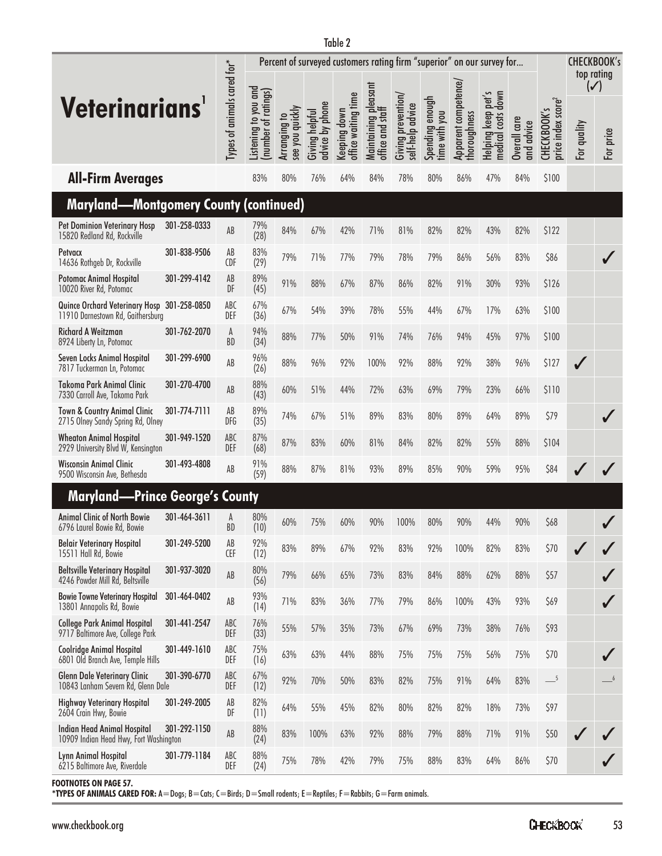|                                                                                  |              |                                      | Percent of surveyed customers rating firm "superior" on our survey for |                                 |                                   | <b>CHECKBOOK's</b><br>top rating    |                                          |                                        |                                  |                                      |                                                           |                            |                                                   |                               |           |
|----------------------------------------------------------------------------------|--------------|--------------------------------------|------------------------------------------------------------------------|---------------------------------|-----------------------------------|-------------------------------------|------------------------------------------|----------------------------------------|----------------------------------|--------------------------------------|-----------------------------------------------------------|----------------------------|---------------------------------------------------|-------------------------------|-----------|
| Veterinarians'                                                                   |              | Types of animals cared for*          | Listening to you and<br>(number of ratings)                            | see you quickly<br>Arranging to | advice by phone<br>Giving helpful | office waiting time<br>Keeping down | Maintaining pleasant<br>office and staff | Giving prevention,<br>self-help advice | Spending enough<br>time with you | Apparent competence/<br>thoroughness | $\sim$<br>down<br>pet<br>Helping keep<br>costs<br>medical | Overall care<br>and advice | price index score <sup>2</sup><br>S<br>CHECKBOOK' | $(\checkmark)$<br>For quality | For price |
| <b>All-Firm Averages</b>                                                         |              |                                      | 83%                                                                    | 80%                             | 76%                               | 64%                                 | 84%                                      | 78%                                    | 80%                              | 86%                                  | 47%                                                       | 84%                        | \$100                                             |                               |           |
| <b>Maryland-Montgomery County (continued)</b>                                    |              |                                      |                                                                        |                                 |                                   |                                     |                                          |                                        |                                  |                                      |                                                           |                            |                                                   |                               |           |
| <b>Pet Dominion Veterinary Hosp</b><br>15820 Redland Rd, Rockville               | 301-258-0333 | AB                                   | 79%<br>(28)                                                            | 84%                             | 67%                               | 42%                                 | 71%                                      | 81%                                    | 82%                              | 82%                                  | 43%                                                       | 82%                        | \$122                                             |                               |           |
| Petvacx<br>14636 Rothgeb Dr, Rockville                                           | 301-838-9506 | AB<br><b>CDF</b>                     | 83%<br>(29)                                                            | 79%                             | 71%                               | 77%                                 | 79%                                      | 78%                                    | 79%                              | 86%                                  | 56%                                                       | 83%                        | \$86                                              |                               |           |
| Potomac Animal Hospital<br>10020 River Rd, Potomac                               | 301-299-4142 | AB<br>DF                             | 89%<br>(45)                                                            | 91%                             | 88%                               | 67%                                 | 87%                                      | 86%                                    | 82%                              | 91%                                  | 30%                                                       | 93%                        | \$126                                             |                               |           |
| Quince Orchard Veterinary Hosp 301-258-0850<br>11910 Darnestown Rd, Gaithersburg |              | ABC<br>DEF                           | 67%<br>(36)                                                            | 67%                             | 54%                               | 39%                                 | 78%                                      | 55%                                    | 44%                              | 67%                                  | 17%                                                       | 63%                        | \$100                                             |                               |           |
| <b>Richard A Weitzman</b><br>8924 Liberty Ln, Potomac                            | 301-762-2070 | A<br><b>BD</b>                       | 94%<br>(34)                                                            | 88%                             | 77%                               | 50%                                 | 91%                                      | 74%                                    | 76%                              | 94%                                  | 45%                                                       | 97%                        | \$100                                             |                               |           |
| Seven Locks Animal Hospital<br>7817 Tuckerman Ln, Potomac                        | 301-299-6900 | AB                                   | 96%<br>(26)                                                            | 88%                             | 96%                               | 92%                                 | 100%                                     | 92%                                    | 88%                              | 92%                                  | 38%                                                       | 96%                        | \$127                                             | J                             |           |
| <b>Takoma Park Animal Clinic</b><br>7330 Carroll Ave, Takoma Park                | 301-270-4700 | AB                                   | 88%<br>(43)                                                            | 60%                             | 51%                               | 44%                                 | 72%                                      | 63%                                    | 69%                              | 79%                                  | 23%                                                       | 66%                        | \$110                                             |                               |           |
| <b>Town &amp; Country Animal Clinic</b><br>2715 Olney Sandy Spring Rd, Olney     | 301-774-7111 | AB<br><b>DFG</b>                     | 89%<br>(35)                                                            | 74%                             | 67%                               | 51%                                 | 89%                                      | 83%                                    | 80%                              | 89%                                  | 64%                                                       | 89%                        | \$79                                              |                               |           |
| <b>Wheaton Animal Hospital</b><br>2929 University Blvd W, Kensington             | 301-949-1520 | ABC<br>DEF                           | 87%<br>(68)                                                            | 87%                             | 83%                               | 60%                                 | 81%                                      | 84%                                    | 82%                              | 82%                                  | 55%                                                       | 88%                        | \$104                                             |                               |           |
| Wisconsin Animal Clinic<br>9500 Wisconsin Ave, Bethesda                          | 301-493-4808 | AB                                   | 91%<br>(59)                                                            | 88%                             | 87%                               | 81%                                 | 93%                                      | 89%                                    | 85%                              | 90%                                  | 59%                                                       | 95%                        | \$84                                              |                               |           |
| <b>Maryland—Prince George's County</b>                                           |              |                                      |                                                                        |                                 |                                   |                                     |                                          |                                        |                                  |                                      |                                                           |                            |                                                   |                               |           |
| <b>Animal Clinic of North Bowie</b><br>6796 Laurel Bowie Rd, Bowie               | 301-464-3611 | A<br><b>BD</b>                       | 80%<br>(10)                                                            | 60%                             | 75%                               | 60%                                 | 90%                                      | 100%                                   | 80%                              | 90%                                  | 44%                                                       | 90%                        | \$68                                              |                               |           |
| <b>Belair Veterinary Hospital</b><br>15511 Hall Rd, Bowie                        | 301-249-5200 | $\mathsf{A}\mathsf{B}$<br><b>CEF</b> | 92%<br>(12)                                                            | 83%                             | 89%                               | 67%                                 | 92%                                      | 83%                                    | 92%                              | 100%                                 | 82%                                                       | 83%                        | \$70                                              |                               |           |
| <b>Beltsville Veterinary Hospital</b><br>4246 Powder Mill Rd, Beltsville         | 301-937-3020 | AB                                   | 80%<br>(56)                                                            | 79%                             | 66%                               | 65%                                 | 73%                                      | 83%                                    | 84%                              | 88%                                  | 62%                                                       | 88%                        | \$57                                              |                               |           |
| <b>Bowie Towne Veterinary Hospital</b><br>13801 Annapolis Rd, Bowie              | 301-464-0402 | AB                                   | 93%<br>(14)                                                            | 71%                             | 83%                               | 36%                                 | 77%                                      | 79%                                    | 86%                              | 100%                                 | 43%                                                       | 93%                        | \$69                                              |                               |           |
| <b>College Park Animal Hospital</b><br>9717 Baltimore Ave, College Park          | 301-441-2547 | ABC<br>DEF                           | 76%<br>(33)                                                            | 55%                             | 57%                               | 35%                                 | 73%                                      | 67%                                    | 69%                              | 73%                                  | 38%                                                       | 76%                        | \$93                                              |                               |           |
| <b>Coolridge Animal Hospital</b><br>6801 Old Branch Ave, Temple Hills            | 301-449-1610 | ABC<br>DEF                           | 75%<br>(16)                                                            | 63%                             | 63%                               | 44%                                 | 88%                                      | 75%                                    | 75%                              | 75%                                  | 56%                                                       | 75%                        | \$70                                              |                               |           |
| <b>Glenn Dale Veterinary Clinic</b><br>10843 Lanham Severn Rd, Glenn Dale        | 301-390-6770 | ABC<br>DEF                           | 67%<br>(12)                                                            | 92%                             | 70%                               | 50%                                 | 83%                                      | 82%                                    | 75%                              | 91%                                  | 64%                                                       | 83%                        | $-$ <sup>5</sup>                                  |                               | $-6$      |
| <b>Highway Veterinary Hospital</b><br>2604 Crain Hwy, Bowie                      | 301-249-2005 | AB<br>DF                             | 82%<br>(11)                                                            | 64%                             | 55%                               | 45%                                 | 82%                                      | 80%                                    | 82%                              | 82%                                  | 18%                                                       | 73%                        | \$97                                              |                               |           |
| <b>Indian Head Animal Hospital</b><br>10909 Indian Head Hwy, Fort Washington     | 301-292-1150 | AB                                   | 88%<br>(24)                                                            | 83%                             | 100%                              | 63%                                 | 92%                                      | 88%                                    | 79%                              | 88%                                  | 71%                                                       | 91%                        | \$50                                              |                               |           |
| Lynn Animal Hospital<br>6215 Baltimore Ave, Riverdale                            | 301-779-1184 | ABC<br>DEF                           | 88%<br>(24)                                                            | 75%                             | 78%                               | 42%                                 | 79%                                      | 75%                                    | 88%                              | 83%                                  | 64%                                                       | 86%                        | \$70                                              |                               |           |

**FOOTNOTES ON PAGE 57.**

**\*TYPES OF ANIMALS CARED FOR:** A=Dogs; B=Cats; C=Birds; D=Small rodents; E=Reptiles; F=Rabbits; G=Farm animals.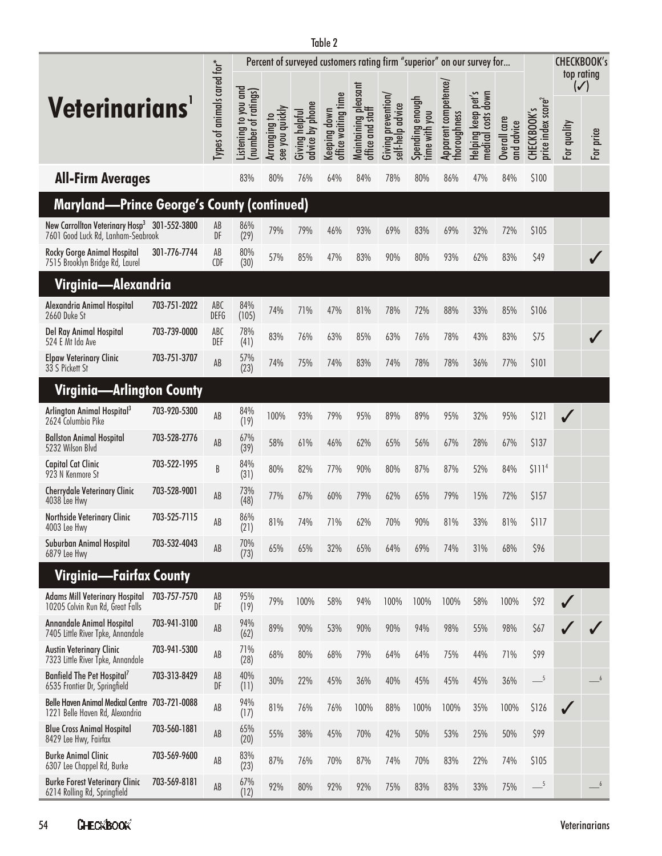|                                                                                                |              |                             |                                             |                                 |                                                                        | Table 2                             |                                          |                                        |                                  |                                      |                                                    |                               |                                                       |                               |            |
|------------------------------------------------------------------------------------------------|--------------|-----------------------------|---------------------------------------------|---------------------------------|------------------------------------------------------------------------|-------------------------------------|------------------------------------------|----------------------------------------|----------------------------------|--------------------------------------|----------------------------------------------------|-------------------------------|-------------------------------------------------------|-------------------------------|------------|
|                                                                                                |              |                             |                                             |                                 | Percent of surveyed customers rating firm "superior" on our survey for |                                     |                                          |                                        |                                  |                                      |                                                    |                               |                                                       | <b>CHECKBOOK's</b>            | top rating |
| <b>Veterinarians</b>                                                                           |              | Types of animals cared for* | Listening to you and<br>(number of ratings) | Arranging to<br>see you quickly | advice by phone<br>Giving helpful                                      | office waiting time<br>Keeping down | Maintaining pleasant<br>office and staff | Giving prevention/<br>self-help advice | Spending enough<br>time with you | Apparent competence/<br>thoroughness | pet's<br>down<br>Helping keep p<br>medical costs d | care<br>and advice<br>Overall | price index score <sup>2</sup><br>$\sim$<br>CHECKBOOK | $(\checkmark)$<br>For quality | For price  |
| <b>All-Firm Averages</b>                                                                       |              |                             | 83%                                         | 80%                             | 76%                                                                    | 64%                                 | 84%                                      | 78%                                    | 80%                              | 86%                                  | 47%                                                | 84%                           | \$100                                                 |                               |            |
| <b>Maryland—Prince George's County (continued)</b>                                             |              |                             |                                             |                                 |                                                                        |                                     |                                          |                                        |                                  |                                      |                                                    |                               |                                                       |                               |            |
| New Carrollton Veterinary Hosp <sup>3</sup> 301-552-3800<br>7601 Good Luck Rd, Lanham-Seabrook |              | AB<br>DF                    | 86%<br>(29)                                 | 79%                             | 79%                                                                    | 46%                                 | 93%                                      | 69%                                    | 83%                              | 69%                                  | 32%                                                | 72%                           | \$105                                                 |                               |            |
| Rocky Gorge Animal Hospital<br>7515 Brooklyn Bridge Rd, Laurel                                 | 301-776-7744 | AB<br><b>CDF</b>            | 80%<br>(30)                                 | 57%                             | 85%                                                                    | 47%                                 | 83%                                      | 90%                                    | 80%                              | 93%                                  | 62%                                                | 83%                           | \$49                                                  |                               |            |
| Virginia—Alexandria                                                                            |              |                             |                                             |                                 |                                                                        |                                     |                                          |                                        |                                  |                                      |                                                    |                               |                                                       |                               |            |
| Alexandria Animal Hospital<br>2660 Duke St                                                     | 703-751-2022 | ABC<br><b>DEFG</b>          | 84%<br>(105)                                | 74%                             | 71%                                                                    | 47%                                 | 81%                                      | 78%                                    | 72%                              | 88%                                  | 33%                                                | 85%                           | \$106                                                 |                               |            |
| Del Ray Animal Hospital<br>524 E Mt Ida Ave                                                    | 703-739-0000 | ABC<br>DEF                  | 78%<br>(41)                                 | 83%                             | 76%                                                                    | 63%                                 | 85%                                      | 63%                                    | 76%                              | 78%                                  | 43%                                                | 83%                           | \$75                                                  |                               |            |
| <b>Elpaw Veterinary Clinic</b><br>33 S Pickett St                                              | 703-751-3707 | AB                          | 57%<br>(23)                                 | 74%                             | 75%                                                                    | 74%                                 | 83%                                      | 74%                                    | 78%                              | 78%                                  | 36%                                                | 77%                           | \$101                                                 |                               |            |
| Virginia—Arlington County                                                                      |              |                             |                                             |                                 |                                                                        |                                     |                                          |                                        |                                  |                                      |                                                    |                               |                                                       |                               |            |
| Arlington Animal Hospital <sup>3</sup><br>2624 Columbia Pike                                   | 703-920-5300 | AB                          | 84%<br>(19)                                 | 100%                            | 93%                                                                    | 79%                                 | 95%                                      | 89%                                    | 89%                              | 95%                                  | 32%                                                | 95%                           | \$121                                                 |                               |            |
| <b>Ballston Animal Hospital</b><br>5232 Wilson Blvd                                            | 703-528-2776 | AB                          | 67%<br>(39)                                 | 58%                             | 61%                                                                    | 46%                                 | 62%                                      | 65%                                    | 56%                              | 67%                                  | 28%                                                | 67%                           | \$137                                                 |                               |            |
| <b>Capital Cat Clinic</b><br>923 N Kenmore St                                                  | 703-522-1995 | B                           | 84%<br>(31)                                 | 80%                             | 82%                                                                    | 77%                                 | 90%                                      | 80%                                    | 87%                              | 87%                                  | 52%                                                | 84%                           | \$111 <sup>4</sup>                                    |                               |            |
| <b>Cherrydale Veterinary Clinic</b><br>4038 Lee Hwy                                            | 703-528-9001 | AB                          | 73%<br>(48)                                 | 77%                             | 67%                                                                    | 60%                                 | 79%                                      | 62%                                    | 65%                              | 79%                                  | 15%                                                | 72%                           | \$157                                                 |                               |            |
| Northside Veterinary Clinic<br>4003 Lee Hwy                                                    | 703-525-7115 | AB                          | 86%<br>(21)                                 | 81%                             | 74%                                                                    | 71%                                 | 62%                                      | 70%                                    | 90%                              | 81%                                  | 33%                                                | 81%                           | \$117                                                 |                               |            |
| Suburban Animal Hospital<br>6879 Lee Hwy                                                       | 703-532-4043 | AB                          | 70%<br>(73)                                 | 65%                             | 65%                                                                    | 32%                                 | 65%                                      | 64%                                    | 69%                              | 74%                                  | 31%                                                | 68%                           | \$96                                                  |                               |            |
| <b>Virginia—Fairfax County</b>                                                                 |              |                             |                                             |                                 |                                                                        |                                     |                                          |                                        |                                  |                                      |                                                    |                               |                                                       |                               |            |
| <b>Adams Mill Veterinary Hospital</b><br>10205 Colvin Run Rd, Great Falls                      | 703-757-7570 | AB<br>DF                    | 95%<br>(19)                                 | 79%                             | 100%                                                                   | 58%                                 | 94%                                      | 100%                                   | 100%                             | 100%                                 | 58%                                                | 100%                          | \$92                                                  |                               |            |
| <b>Annandale Animal Hospital</b><br>7405 Little River Tpke, Annandale                          | 703-941-3100 | AB                          | 94%<br>(62)                                 | 89%                             | 90%                                                                    | 53%                                 | 90%                                      | 90%                                    | 94%                              | 98%                                  | 55%                                                | 98%                           | \$67                                                  |                               |            |
| <b>Austin Veterinary Clinic</b><br>7323 Little River Tpke, Annandale                           | 703-941-5300 | AB                          | 71%<br>(28)                                 | 68%                             | 80%                                                                    | 68%                                 | 79%                                      | 64%                                    | 64%                              | 75%                                  | 44%                                                | 71%                           | \$99                                                  |                               |            |
| Banfield The Pet Hospital <sup>7</sup><br>6535 Frontier Dr, Springfield                        | 703-313-8429 | AB<br>DF                    | 40%<br>(11)                                 | 30%                             | 22%                                                                    | 45%                                 | 36%                                      | 40%                                    | 45%                              | 45%                                  | 45%                                                | 36%                           | $-5$                                                  |                               | 6          |
| <b>Belle Haven Animal Medical Centre</b><br>1221 Belle Haven Rd, Alexandria                    | 703-721-0088 | AB                          | 94%<br>(17)                                 | 81%                             | 76%                                                                    | 76%                                 | 100%                                     | 88%                                    | 100%                             | 100%                                 | 35%                                                | 100%                          | \$126                                                 |                               |            |
| <b>Blue Cross Animal Hospital</b><br>8429 Lee Hwy, Fairfax                                     | 703-560-1881 | AB                          | 65%<br>(20)                                 | 55%                             | 38%                                                                    | 45%                                 | 70%                                      | 42%                                    | 50%                              | 53%                                  | 25%                                                | 50%                           | \$99                                                  |                               |            |
| <b>Burke Animal Clinic</b><br>6307 Lee Chappel Rd, Burke                                       | 703-569-9600 | AB                          | 83%<br>(23)                                 | 87%                             | 76%                                                                    | 70%                                 | 87%                                      | 74%                                    | 70%                              | 83%                                  | 22%                                                | 74%                           | \$105                                                 |                               |            |
| <b>Burke Forest Veterinary Clinic</b><br>6214 Rolling Rd, Springfield                          | 703-569-8181 | $\mathsf{A}\mathsf{B}$      | 67%<br>(12)                                 | 92%                             | 80%                                                                    | 92%                                 | 92%                                      | 75%                                    | 83%                              | 83%                                  | 33%                                                | 75%                           | $-$ <sup>5</sup>                                      |                               | $-6$       |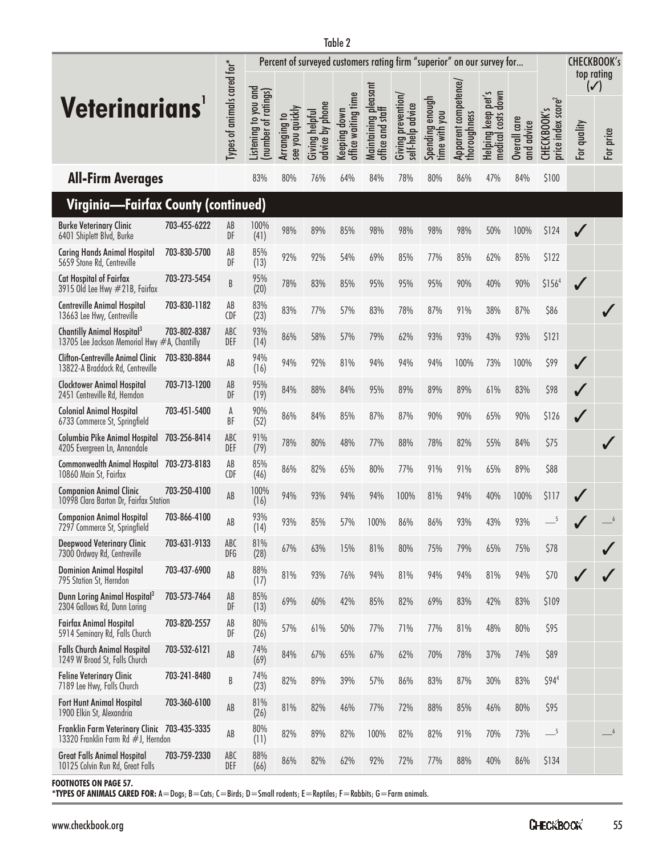|                                                                                        |              |                             | Percent of surveyed customers rating firm "superior" on our survey for |                                 |                                   |                                     |                                          |                                        |                                  |                                      |                                                   | <b>CHECKBOOK's</b><br>top rating |                                               |                  |                             |
|----------------------------------------------------------------------------------------|--------------|-----------------------------|------------------------------------------------------------------------|---------------------------------|-----------------------------------|-------------------------------------|------------------------------------------|----------------------------------------|----------------------------------|--------------------------------------|---------------------------------------------------|----------------------------------|-----------------------------------------------|------------------|-----------------------------|
| <b>Veterinarians</b>                                                                   |              | Types of animals cared for* | Listening to you and<br>(number of ratings)                            | see you quickly<br>Arranging to | advice by phone<br>Giving helpful | office waiting time<br>Keeping down | Maintaining pleasant<br>office and staff | Giving prevention,<br>self-help advice | Spending enough<br>time with you | Apparent competence/<br>thoroughness | pet's<br>down<br>Helping keep<br>costs<br>medical | Overall care<br>and advice       | price index score <sup>2</sup><br>CHECKBOOK's | For quality      | $(\checkmark)$<br>For price |
| <b>All-Firm Averages</b>                                                               |              |                             | 83%                                                                    | 80%                             | 76%                               | 64%                                 | 84%                                      | 78%                                    | 80%                              | 86%                                  | 47%                                               | 84%                              | \$100                                         |                  |                             |
| Virginia—Fairfax County (continued)                                                    |              |                             |                                                                        |                                 |                                   |                                     |                                          |                                        |                                  |                                      |                                                   |                                  |                                               |                  |                             |
| <b>Burke Veterinary Clinic</b><br>6401 Shiplett Blvd, Burke                            | 703-455-6222 | AB<br>DF                    | 100%<br>(41)                                                           | 98%                             | 89%                               | 85%                                 | 98%                                      | 98%                                    | 98%                              | 98%                                  | 50%                                               | 100%                             | \$124                                         |                  |                             |
| <b>Caring Hands Animal Hospital</b><br>5659 Stone Rd, Centreville                      | 703-830-5700 | AB<br>DF                    | 85%<br>(13)                                                            | 92%                             | 92%                               | 54%                                 | 69%                                      | 85%                                    | 77%                              | 85%                                  | 62%                                               | 85%                              | \$122                                         |                  |                             |
| Cat Hospital of Fairfax<br>3915 Old Lee Hwy #21B, Fairfax                              | 703-273-5454 | B                           | 95%<br>(20)                                                            | 78%                             | 83%                               | 85%                                 | 95%                                      | 95%                                    | 95%                              | 90%                                  | 40%                                               | 90%                              | \$156 <sup>4</sup>                            | $\sqrt{}$        |                             |
| <b>Centreville Animal Hospital</b><br>13663 Lee Hwy, Centreville                       | 703-830-1182 | AB<br><b>CDF</b>            | 83%<br>(23)                                                            | 83%                             | 77%                               | 57%                                 | 83%                                      | 78%                                    | 87%                              | 91%                                  | 38%                                               | 87%                              | \$86                                          |                  |                             |
| Chantilly Animal Hospital <sup>3</sup><br>13705 Lee Jackson Memorial Hwy #A, Chantilly | 703-802-8387 | ABC<br>DEF                  | 93%<br>(14)                                                            | 86%                             | 58%                               | 57%                                 | 79%                                      | 62%                                    | 93%                              | 93%                                  | 43%                                               | 93%                              | \$121                                         |                  |                             |
| <b>Clifton-Centreville Animal Clinic</b><br>13822-A Braddock Rd, Centreville           | 703-830-8844 | AB                          | 94%<br>(16)                                                            | 94%                             | 92%                               | 81%                                 | 94%                                      | 94%                                    | 94%                              | 100%                                 | 73%                                               | 100%                             | \$99                                          | $\boldsymbol{J}$ |                             |
| <b>Clocktower Animal Hospital</b><br>2451 Centreville Rd, Herndon                      | 703-713-1200 | AB<br>DF                    | 95%<br>(19)                                                            | 84%                             | 88%                               | 84%                                 | 95%                                      | 89%                                    | 89%                              | 89%                                  | 61%                                               | 83%                              | \$98                                          |                  |                             |
| <b>Colonial Animal Hospital</b><br>6733 Commerce St, Springfield                       | 703-451-5400 | A<br><b>BF</b>              | 90%<br>(52)                                                            | 86%                             | 84%                               | 85%                                 | 87%                                      | 87%                                    | 90%                              | 90%                                  | 65%                                               | 90%                              | \$126                                         | ✓                |                             |
| Columbia Pike Animal Hospital<br>4205 Evergreen Ln, Annandale                          | 703-256-8414 | ABC<br>DEF                  | 91%<br>(79)                                                            | 78%                             | 80%                               | 48%                                 | 77%                                      | 88%                                    | 78%                              | 82%                                  | 55%                                               | 84%                              | \$75                                          |                  |                             |
| <b>Commonwealth Animal Hospital</b><br>10860 Main St, Fairfax                          | 703-273-8183 | AB<br><b>CDF</b>            | 85%<br>(46)                                                            | 86%                             | 82%                               | 65%                                 | 80%                                      | 77%                                    | 91%                              | 91%                                  | 65%                                               | 89%                              | \$88                                          |                  |                             |
| <b>Companion Animal Clinic</b><br>10998 Clara Barton Dr, Fairfax Station               | 703-250-4100 | AB                          | 100%<br>(16)                                                           | 94%                             | 93%                               | 94%                                 | 94%                                      | 100%                                   | 81%                              | 94%                                  | 40%                                               | 100%                             | \$117                                         |                  |                             |
| <b>Companion Animal Hospital</b><br>7297 Commerce St, Springfield                      | 703-866-4100 | AB                          | 93%<br>(14)                                                            | 93%                             | 85%                               | 57%                                 | 100%                                     | 86%                                    | 86%                              | 93%                                  | 43%                                               | 93%                              | 5                                             |                  |                             |
| <b>Deepwood Veterinary Clinic</b><br>7300 Ordway Rd, Centreville                       | 703-631-9133 | ABC<br><b>DFG</b>           | 81%<br>(28)                                                            | 67%                             | 63%                               | 15%                                 | 81%                                      | 80%                                    | 75%                              | 79%                                  | 65%                                               | 75%                              | \$78                                          |                  |                             |
| <b>Dominion Animal Hospital</b><br>795 Station St, Herndon                             | 703-437-6900 | AB                          | 88%<br>(17)                                                            | 81%                             | 93%                               | 76%                                 | 94%                                      | 81%                                    | 94%                              | 94%                                  | 81%                                               | 94%                              | \$70                                          |                  |                             |
| Dunn Loring Animal Hospital <sup>3</sup><br>2304 Gallows Rd, Dunn Loring               | 703-573-7464 | AB<br>DF                    | 85%<br>(13)                                                            | 69%                             | 60%                               | 42%                                 | 85%                                      | 82%                                    | 69%                              | 83%                                  | 42%                                               | 83%                              | \$109                                         |                  |                             |
| <b>Fairfax Animal Hospital</b><br>5914 Seminary Rd, Falls Church                       | 703-820-2557 | AB<br>DF                    | 80%<br>(26)                                                            | 57%                             | 61%                               | 50%                                 | 77%                                      | 71%                                    | 77%                              | 81%                                  | 48%                                               | 80%                              | \$95                                          |                  |                             |
| <b>Falls Church Animal Hospital</b><br>1249 W Broad St, Falls Church                   | 703-532-6121 | AB                          | 74%<br>(69)                                                            | 84%                             | 67%                               | 65%                                 | 67%                                      | 62%                                    | 70%                              | 78%                                  | 37%                                               | 74%                              | \$89                                          |                  |                             |
| <b>Feline Veterinary Clinic</b><br>7189 Lee Hwy, Falls Church                          | 703-241-8480 | B                           | 74%<br>(23)                                                            | 82%                             | 89%                               | 39%                                 | 57%                                      | 86%                                    | 83%                              | 87%                                  | 30%                                               | 83%                              | \$94 <sup>4</sup>                             |                  |                             |
| Fort Hunt Animal Hospital<br>1900 Elkin St, Alexandria                                 | 703-360-6100 | $\mathsf{AB}$               | 81%<br>(26)                                                            | 81%                             | 82%                               | 46%                                 | 77%                                      | 72%                                    | 88%                              | 85%                                  | 46%                                               | 80%                              | \$95                                          |                  |                             |
| Franklin Farm Veterinary Clinic 703-435-3335<br>13320 Franklin Farm Rd #J, Herndon     |              | $\mathsf{AB}$               | 80%<br>(11)                                                            | 82%                             | 89%                               | 82%                                 | 100%                                     | 82%                                    | 82%                              | 91%                                  | 70%                                               | 73%                              | $-$ <sup>5</sup>                              |                  | $-6$                        |
| <b>Great Falls Animal Hospital</b><br>10125 Colvin Run Rd, Great Falls                 | 703-759-2330 | ABC<br>DEF                  | 88%<br>(66)                                                            | 86%                             | 82%                               | 62%                                 | 92%                                      | 72%                                    | 77%                              | 88%                                  | 40%                                               | 86%                              | \$134                                         |                  |                             |

**FOOTNOTES ON PAGE 57.**

**\*TYPES OF ANIMALS CARED FOR:** A=Dogs; B=Cats; C=Birds; D=Small rodents; E=Reptiles; F=Rabbits; G=Farm animals.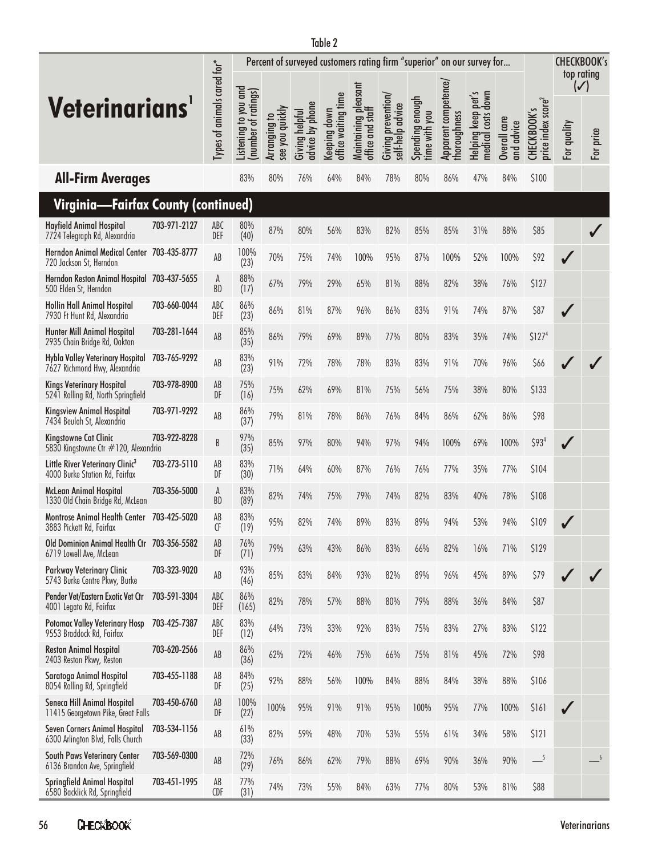|                                                                               |              |                             |                                            | Percent of surveyed customers rating firm "superior" on our survey for |                                   |                                     |                                          |                                        |                                  |                                      | <b>CHECKBOOK's</b><br>top rating                                    |                            |                                               |                               |           |
|-------------------------------------------------------------------------------|--------------|-----------------------------|--------------------------------------------|------------------------------------------------------------------------|-----------------------------------|-------------------------------------|------------------------------------------|----------------------------------------|----------------------------------|--------------------------------------|---------------------------------------------------------------------|----------------------------|-----------------------------------------------|-------------------------------|-----------|
| <b>Veterinarians</b>                                                          |              | Types of animals cared for* | Listening to you and<br>number of ratings) | Arranging to<br>see you quickly                                        | advice by phone<br>Giving helpful | office waiting time<br>Keeping down | Maintaining pleasant<br>office and staff | Giving prevention/<br>self-help advice | Spending enough<br>time with you | Apparent competence/<br>thoroughness | S<br>down<br>pet <sup>r</sup><br>keep<br>medical costs<br>Helping I | Overall care<br>and advice | price index score <sup>2</sup><br>CHECKBOOK's | $(\checkmark)$<br>For quality | For price |
| <b>All-Firm Averages</b>                                                      |              |                             | 83%                                        | 80%                                                                    | 76%                               | 64%                                 | 84%                                      | 78%                                    | 80%                              | 86%                                  | 47%                                                                 | 84%                        | \$100                                         |                               |           |
| Virginia—Fairfax County (continued)                                           |              |                             |                                            |                                                                        |                                   |                                     |                                          |                                        |                                  |                                      |                                                                     |                            |                                               |                               |           |
| <b>Hayfield Animal Hospital</b><br>7724 Telegraph Rd, Alexandria              | 703-971-2127 | ABC<br>DEF                  | 80%<br>(40)                                | 87%                                                                    | 80%                               | 56%                                 | 83%                                      | 82%                                    | 85%                              | 85%                                  | 31%                                                                 | 88%                        | \$85                                          |                               |           |
| Herndon Animal Medical Center 703-435-8777<br>720 Jackson St, Herndon         |              | AB                          | 100%<br>(23)                               | 70%                                                                    | 75%                               | 74%                                 | 100%                                     | 95%                                    | 87%                              | 100%                                 | 52%                                                                 | 100%                       | \$92                                          |                               |           |
| Herndon Reston Animal Hospital 703-437-5655<br>500 Elden St, Herndon          |              | A<br><b>BD</b>              | 88%<br>(17)                                | 67%                                                                    | 79%                               | 29%                                 | 65%                                      | 81%                                    | 88%                              | 82%                                  | 38%                                                                 | 76%                        | \$127                                         |                               |           |
| <b>Hollin Hall Animal Hospital</b><br>7930 Ft Hunt Rd, Alexandria             | 703-660-0044 | ABC<br>DEF                  | 86%<br>(23)                                | 86%                                                                    | 81%                               | 87%                                 | 96%                                      | 86%                                    | 83%                              | 91%                                  | 74%                                                                 | 87%                        | \$87                                          |                               |           |
| <b>Hunter Mill Animal Hospital</b><br>2935 Chain Bridge Rd, Oakton            | 703-281-1644 | AB                          | 85%<br>(35)                                | 86%                                                                    | 79%                               | 69%                                 | 89%                                      | 77%                                    | 80%                              | 83%                                  | 35%                                                                 | 74%                        | \$127 <sup>4</sup>                            |                               |           |
| Hybla Valley Veterinary Hospital<br>7627 Richmond Hwy, Alexandria             | 703-765-9292 | AB                          | 83%<br>(23)                                | 91%                                                                    | 72%                               | 78%                                 | 78%                                      | 83%                                    | 83%                              | 91%                                  | 70%                                                                 | 96%                        | \$66                                          |                               |           |
| <b>Kings Veterinary Hospital</b><br>5241 Rolling Rd, North Springfield        | 703-978-8900 | AB<br>DF                    | 75%<br>(16)                                | 75%                                                                    | 62%                               | 69%                                 | 81%                                      | 75%                                    | 56%                              | 75%                                  | 38%                                                                 | 80%                        | \$133                                         |                               |           |
| <b>Kingsview Animal Hospital</b><br>7434 Beulah St, Alexandria                | 703-971-9292 | AB                          | 86%<br>(37)                                | 79%                                                                    | 81%                               | 78%                                 | 86%                                      | 76%                                    | 84%                              | 86%                                  | 62%                                                                 | 86%                        | \$98                                          |                               |           |
| Kingstowne Cat Clinic<br>5830 Kingstowne Ctr #120, Alexandria                 | 703-922-8228 | B                           | 97%<br>(35)                                | 85%                                                                    | 97%                               | 80%                                 | 94%                                      | 97%                                    | 94%                              | 100%                                 | 69%                                                                 | 100%                       | \$93 <sup>4</sup>                             |                               |           |
| Little River Veterinary Clinic <sup>3</sup><br>4000 Burke Station Rd, Fairfax | 703-273-5110 | AB<br>DF                    | 83%<br>(30)                                | 71%                                                                    | 64%                               | 60%                                 | 87%                                      | 76%                                    | 76%                              | 77%                                  | 35%                                                                 | 77%                        | \$104                                         |                               |           |
| McLean Animal Hospital<br>1330 Old Chain Bridge Rd, McLean                    | 703-356-5000 | A<br>BD                     | 83%<br>(89)                                | 82%                                                                    | 74%                               | 75%                                 | 79%                                      | 74%                                    | 82%                              | 83%                                  | 40%                                                                 | 78%                        | \$108                                         |                               |           |
| Montrose Animal Health Center<br>3883 Pickett Rd, Fairfax                     | 703-425-5020 | AB<br>CF                    | 83%<br>(19)                                | 95%                                                                    | 82%                               | 74%                                 | 89%                                      | 83%                                    | 89%                              | 94%                                  | 53%                                                                 | 94%                        | \$109                                         |                               |           |
| Old Dominion Animal Health Ctr 703-356-5582<br>6719 Lowell Ave, McLean        |              | AB<br>DF                    | 76%<br>(71)                                | 79%                                                                    | 63%                               | 43%                                 | 86%                                      | 83%                                    | 66%                              | 82%                                  | 16%                                                                 | 71%                        | \$129                                         |                               |           |
| Parkway Veterinary Clinic<br>5743 Burke Centre Pkwy, Burke                    | 703-323-9020 | AB                          | 93%<br>(46)                                | 85%                                                                    | 83%                               | 84%                                 | 93%                                      | 82%                                    | 89%                              | 96%                                  | 45%                                                                 | 89%                        | \$79                                          |                               |           |
| Pender Vet/Eastern Exotic Vet Ctr<br>4001 Legato Rd, Fairfax                  | 703-591-3304 | ABC<br>DEF                  | 86%<br>(165)                               | 82%                                                                    | 78%                               | 57%                                 | 88%                                      | 80%                                    | 79%                              | 88%                                  | 36%                                                                 | 84%                        | \$87                                          |                               |           |
| Potomac Valley Veterinary Hosp<br>9553 Braddock Rd, Fairfax                   | 703-425-7387 | ABC<br>DEF                  | 83%<br>(12)                                | 64%                                                                    | 73%                               | 33%                                 | 92%                                      | 83%                                    | 75%                              | 83%                                  | 27%                                                                 | 83%                        | \$122                                         |                               |           |
| <b>Reston Animal Hospital</b><br>2403 Reston Pkwy, Reston                     | 703-620-2566 | AB                          | 86%<br>(36)                                | 62%                                                                    | 72%                               | 46%                                 | 75%                                      | 66%                                    | 75%                              | 81%                                  | 45%                                                                 | 72%                        | \$98                                          |                               |           |
| Saratoga Animal Hospital<br>8054 Rolling Rd, Springfield                      | 703-455-1188 | AB<br>DF                    | 84%<br>(25)                                | 92%                                                                    | 88%                               | 56%                                 | 100%                                     | 84%                                    | 88%                              | 84%                                  | 38%                                                                 | 88%                        | \$106                                         |                               |           |
| Seneca Hill Animal Hospital<br>11415 Georgetown Pike, Great Falls             | 703-450-6760 | AB<br>DF                    | 100%<br>(22)                               | 100%                                                                   | 95%                               | 91%                                 | 91%                                      | 95%                                    | 100%                             | 95%                                  | 77%                                                                 | 100%                       | \$161                                         |                               |           |
| Seven Corners Animal Hospital<br>6300 Arlington Blvd, Falls Church            | 703-534-1156 | AB                          | 61%<br>(33)                                | 82%                                                                    | 59%                               | 48%                                 | 70%                                      | 53%                                    | 55%                              | 61%                                  | 34%                                                                 | 58%                        | \$121                                         |                               |           |
| South Paws Veterinary Center<br>6136 Brandon Ave, Springfield                 | 703-569-0300 | AB                          | 72%<br>(29)                                | 76%                                                                    | 86%                               | 62%                                 | 79%                                      | 88%                                    | 69%                              | 90%                                  | 36%                                                                 | 90%                        | $-5$                                          |                               |           |
| Springfield Animal Hospital<br>6580 Backlick Rd, Springfield                  | 703-451-1995 | AB<br><b>CDF</b>            | 77%<br>(31)                                | 74%                                                                    | 73%                               | 55%                                 | 84%                                      | 63%                                    | 77%                              | 80%                                  | 53%                                                                 | 81%                        | \$88                                          |                               |           |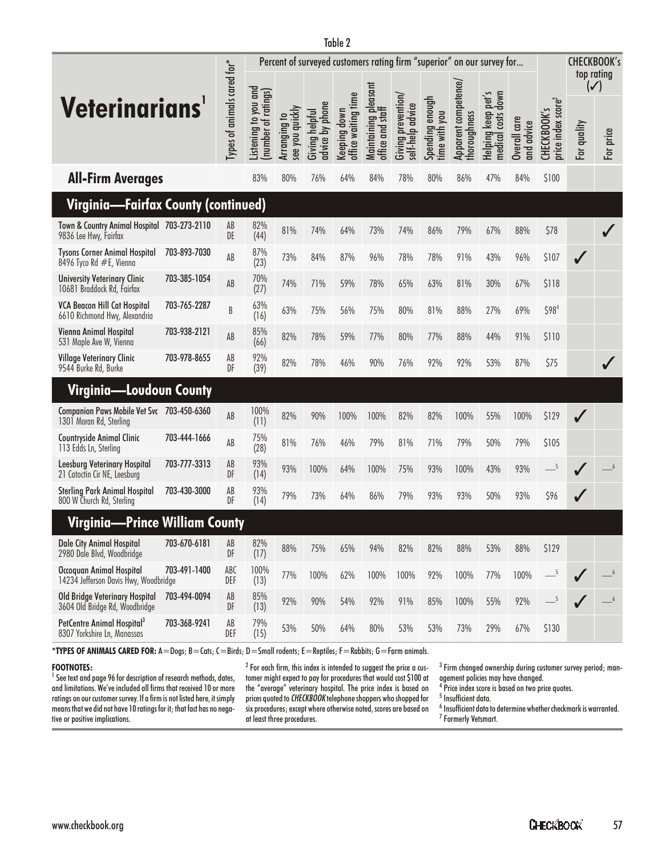|                                                                       |              |                               |                                             | Percent of surveyed customers rating firm "superior" on our survey for |                                   |                                     |                                          |                                        |                                  |                                      |                                          |                            |                                               |                | <b>CHECKBOOK's</b> |
|-----------------------------------------------------------------------|--------------|-------------------------------|---------------------------------------------|------------------------------------------------------------------------|-----------------------------------|-------------------------------------|------------------------------------------|----------------------------------------|----------------------------------|--------------------------------------|------------------------------------------|----------------------------|-----------------------------------------------|----------------|--------------------|
|                                                                       |              |                               |                                             |                                                                        |                                   |                                     |                                          |                                        |                                  |                                      |                                          |                            |                                               | $(\checkmark)$ | top rating         |
| <b>Veterinarians</b>                                                  |              | Types of animals cared for*   | Listening to you and<br>(number of ratings) | see you quickly<br>Arranging to                                        | advice by phone<br>Giving helpful | office waiting time<br>Keeping down | maintaining pleasant<br>office and staff | Giving prevention/<br>self-help advice | Spending enough<br>time with you | Apparent competence/<br>thoroughness | Helping keep pet's<br>medical costs down | Overall care<br>and advice | price index score <sup>2</sup><br>CHECKBOOK's | For quality    | price<br><u>n</u>  |
| <b>All-Firm Averages</b>                                              |              |                               | 83%                                         | 80%                                                                    | 76%                               | 64%                                 | 84%                                      | 78%                                    | 80%                              | 86%                                  | 47%                                      | 84%                        | \$100                                         |                |                    |
| Virginia—Fairfax County (continued)                                   |              |                               |                                             |                                                                        |                                   |                                     |                                          |                                        |                                  |                                      |                                          |                            |                                               |                |                    |
| Town & Country Animal Hospital 703-273-2110<br>9836 Lee Hwy, Fairfax  |              | AB<br>DE                      | 82%<br>(44)                                 | 81%                                                                    | 74%                               | 64%                                 | 73%                                      | 74%                                    | 86%                              | 79%                                  | 67%                                      | 88%                        | \$78                                          |                |                    |
| <b>Tysons Corner Animal Hospital</b><br>8496 Tyco Rd #E, Vienna       | 703-893-7030 | AB                            | 87%<br>(23)                                 | 73%                                                                    | 84%                               | 87%                                 | 96%                                      | 78%                                    | 78%                              | 91%                                  | 43%                                      | 96%                        | \$107                                         | $\sqrt{}$      |                    |
| <b>University Veterinary Clinic</b><br>10681 Braddock Rd, Fairfax     | 703-385-1054 | AB                            | 70%<br>(27)                                 | 74%                                                                    | 71%                               | 59%                                 | 78%                                      | 65%                                    | 63%                              | 81%                                  | 30%                                      | 67%                        | \$118                                         |                |                    |
| <b>VCA Beacon Hill Cat Hospital</b><br>6610 Richmond Hwy, Alexandria  | 703-765-2287 | B                             | 63%<br>(16)                                 | 63%                                                                    | 75%                               | 56%                                 | 75%                                      | 80%                                    | 81%                              | 88%                                  | 27%                                      | 69%                        | \$98 <sup>4</sup>                             |                |                    |
| Vienna Animal Hospital<br>531 Maple Ave W, Vienna                     | 703-938-2121 | AB                            | 85%<br>(66)                                 | 82%                                                                    | 78%                               | 59%                                 | 77%                                      | 80%                                    | 77%                              | 88%                                  | 44%                                      | 91%                        | \$110                                         |                |                    |
| Village Veterinary Clinic<br>9544 Burke Rd, Burke                     | 703-978-8655 | AB<br>DF                      | 92%<br>(39)                                 | 82%                                                                    | 78%                               | 46%                                 | 90%                                      | 76%                                    | 92%                              | 92%                                  | 53%                                      | 87%                        | \$75                                          |                |                    |
| Virginia—Loudoun County                                               |              |                               |                                             |                                                                        |                                   |                                     |                                          |                                        |                                  |                                      |                                          |                            |                                               |                |                    |
| Companion Paws Mobile Vet Svc 703-450-6360<br>1301 Moran Rd, Sterling |              | AB                            | 100%<br>(11)                                | 82%                                                                    | 90%                               | 100%                                | 100%                                     | 82%                                    | 82%                              | 100%                                 | 55%                                      | 100%                       | \$129                                         | $\sqrt{}$      |                    |
| <b>Countryside Animal Clinic</b><br>113 Edds Ln, Sterling             | 703-444-1666 | AB                            | 75%<br>(28)                                 | 81%                                                                    | 76%                               | 46%                                 | 79%                                      | 81%                                    | 71%                              | 79%                                  | 50%                                      | 79%                        | \$105                                         |                |                    |
| <b>Leesburg Veterinary Hospital</b><br>21 Catoctin Cir NE, Leesburg   | 703-777-3313 | AB<br>DF                      | 93%<br>(14)                                 | 93%                                                                    | 100%                              | 64%                                 | 100%                                     | 75%                                    | 93%                              | 100%                                 | 43%                                      | 93%                        | $-5$                                          |                |                    |
| <b>Sterling Park Animal Hospital</b><br>800 W Church Rd, Sterling     | 703-430-3000 | AB<br>DF                      | 93%<br>(14)                                 | 79%                                                                    | 73%                               | 64%                                 | 86%                                      | 79%                                    | 93%                              | 93%                                  | 50%                                      | 93%                        | \$96                                          |                |                    |
| <b>Virginia—Prince William County</b>                                 |              |                               |                                             |                                                                        |                                   |                                     |                                          |                                        |                                  |                                      |                                          |                            |                                               |                |                    |
| <b>Dale City Animal Hospital</b><br>2980 Dale Blvd, Woodbridge        | 703-670-6181 | AB<br>DF                      | 82%<br>(17)                                 | 88%                                                                    | 75%                               | 65%                                 | 94%                                      | 82%                                    | 82%                              | 88%                                  | 53%                                      | 88%                        | \$129                                         |                |                    |
| Occoquan Animal Hospital<br>14234 Jefferson Davis Hwy, Woodbridge     | 703-491-1400 | ABC<br>DEF                    | 100%<br>(13)                                | 77%                                                                    | 100%                              | 62%                                 | 100%                                     | 100%                                   | 92%                              | 100%                                 | 77%                                      | 100%                       | $-$ <sup>5</sup>                              |                |                    |
| Old Bridge Veterinary Hospital<br>3604 Old Bridge Rd, Woodbridge      | 703-494-0094 | AB<br>DF                      | 85%<br>(13)                                 | 92%                                                                    | 90%                               | 54%                                 | 92%                                      | 91%                                    | 85%                              | 100%                                 | 55%                                      | 92%                        | $-$ <sup>5</sup>                              |                |                    |
| PetCentre Animal Hospital <sup>3</sup><br>8307 Yorkshire Ln, Manassas | 703-368-9241 | $\mathsf{A}\mathsf{B}$<br>DEF | 79%<br>(15)                                 | 53%                                                                    | 50%                               | 64%                                 | 80%                                      | 53%                                    | 53%                              | 73%                                  | 29%                                      | 67%                        | \$130                                         |                |                    |

**\*TYPES OF ANIMALS CARED FOR:** A=Dogs; B=Cats; C=Birds; D=Small rodents; E=Reptiles; F=Rabbits; G=Farm animals.

#### **FOOTNOTES:**

<sup>1</sup> See text and page 96 for description of research methods, dates, and limitations. We've included all firms that received 10 or more ratings on our customer survey. If a firm is not listed here, it simply means that we did not have 10 ratings for it; that fact has no negative or positive implications.

 $^{\rm 2}$  For each firm, this index is intended to suggest the price a customer might expect to pay for procedures that would cost \$100 at the "average" veterinary hospital. The price index is based on prices quoted to CHECKBOOK telephone shoppers who shopped for six procedures; except where otherwise noted, scores are based on at least three procedures.

 $^3$  Firm changed ownership during customer survey period; management policies may have changed.

<sup>4</sup> Price index score is based on two price quotes.

<sup>5</sup> Insufficient data.

 $<sup>6</sup>$  Insufficient data to determine whether checkmark is warranted.</sup> <sup>7</sup> Formerly Vetsmart.